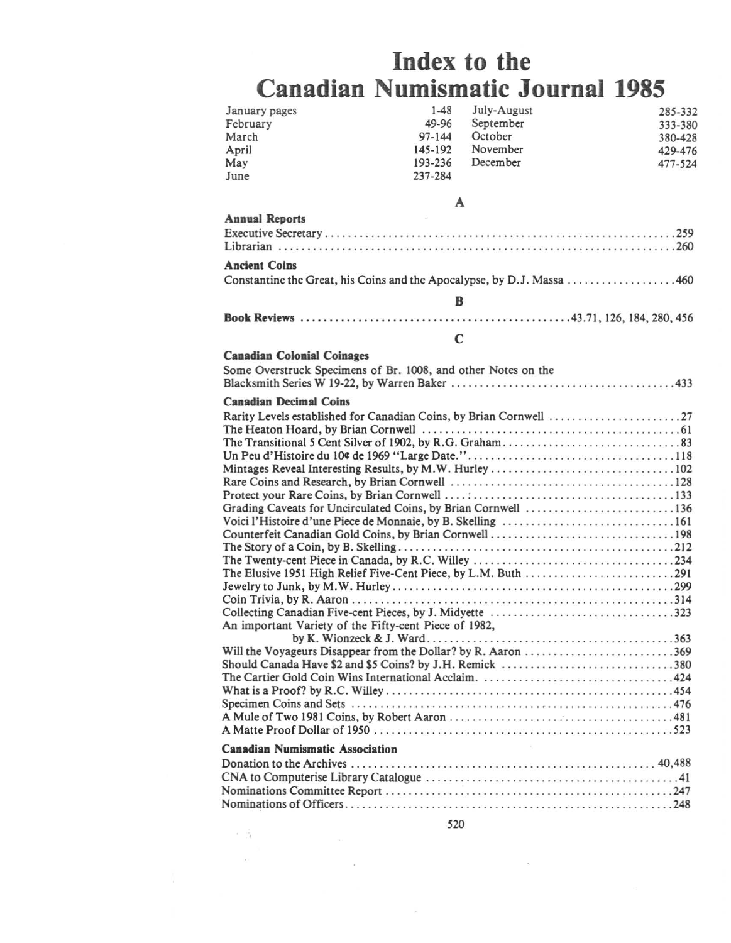## **Index to the Canadian Numismatic Journal 1985**

| January pages<br>February<br>March<br>April<br>May            | $1 - 48$<br>49-96<br>$97 - 144$<br>145-192<br>193-236 | July-August<br>September<br>October<br>November<br>December | 285-332<br>333-380<br>380-428<br>429-476<br>477-524 |  |  |  |
|---------------------------------------------------------------|-------------------------------------------------------|-------------------------------------------------------------|-----------------------------------------------------|--|--|--|
| June                                                          | 237-284                                               |                                                             |                                                     |  |  |  |
|                                                               | A                                                     |                                                             |                                                     |  |  |  |
| <b>Annual Reports</b>                                         |                                                       |                                                             |                                                     |  |  |  |
|                                                               |                                                       |                                                             |                                                     |  |  |  |
| <b>Ancient Coins</b>                                          |                                                       |                                                             |                                                     |  |  |  |
|                                                               |                                                       |                                                             |                                                     |  |  |  |
|                                                               | B                                                     |                                                             |                                                     |  |  |  |
|                                                               |                                                       |                                                             |                                                     |  |  |  |
|                                                               | $\mathbf C$                                           |                                                             |                                                     |  |  |  |
| <b>Canadian Colonial Coinages</b>                             |                                                       |                                                             |                                                     |  |  |  |
| Some Overstruck Specimens of Br. 1008, and other Notes on the |                                                       |                                                             |                                                     |  |  |  |
| <b>Canadian Decimal Coins</b>                                 |                                                       |                                                             |                                                     |  |  |  |
|                                                               |                                                       |                                                             |                                                     |  |  |  |
|                                                               |                                                       |                                                             |                                                     |  |  |  |
|                                                               |                                                       |                                                             |                                                     |  |  |  |
|                                                               |                                                       |                                                             |                                                     |  |  |  |
|                                                               |                                                       |                                                             |                                                     |  |  |  |
|                                                               |                                                       |                                                             |                                                     |  |  |  |
|                                                               |                                                       |                                                             |                                                     |  |  |  |
| Grading Caveats for Uncirculated Coins, by Brian Cornwell 136 |                                                       |                                                             |                                                     |  |  |  |
|                                                               |                                                       |                                                             |                                                     |  |  |  |
|                                                               |                                                       |                                                             |                                                     |  |  |  |
|                                                               |                                                       |                                                             |                                                     |  |  |  |
|                                                               |                                                       |                                                             |                                                     |  |  |  |
|                                                               |                                                       |                                                             |                                                     |  |  |  |
|                                                               |                                                       |                                                             |                                                     |  |  |  |
| Collecting Canadian Five-cent Pieces, by J. Midyette 323      |                                                       |                                                             |                                                     |  |  |  |
| An important Variety of the Fifty-cent Piece of 1982,         |                                                       |                                                             |                                                     |  |  |  |
|                                                               |                                                       |                                                             |                                                     |  |  |  |
|                                                               |                                                       |                                                             |                                                     |  |  |  |
| Should Canada Have \$2 and \$5 Coins? by J.H. Remick 380      |                                                       |                                                             |                                                     |  |  |  |
|                                                               |                                                       |                                                             |                                                     |  |  |  |
|                                                               |                                                       |                                                             |                                                     |  |  |  |
|                                                               |                                                       |                                                             |                                                     |  |  |  |
|                                                               |                                                       |                                                             |                                                     |  |  |  |
| <b>Canadian Numismatic Association</b>                        |                                                       |                                                             |                                                     |  |  |  |
|                                                               |                                                       |                                                             |                                                     |  |  |  |
|                                                               |                                                       |                                                             |                                                     |  |  |  |
|                                                               |                                                       |                                                             |                                                     |  |  |  |
|                                                               |                                                       |                                                             |                                                     |  |  |  |

 $\label{eq:2.1} \begin{array}{ll} \mathcal{L} & \mathcal{L} \\ \mathcal{L} & \mathcal{L} \end{array}$ 

Ň.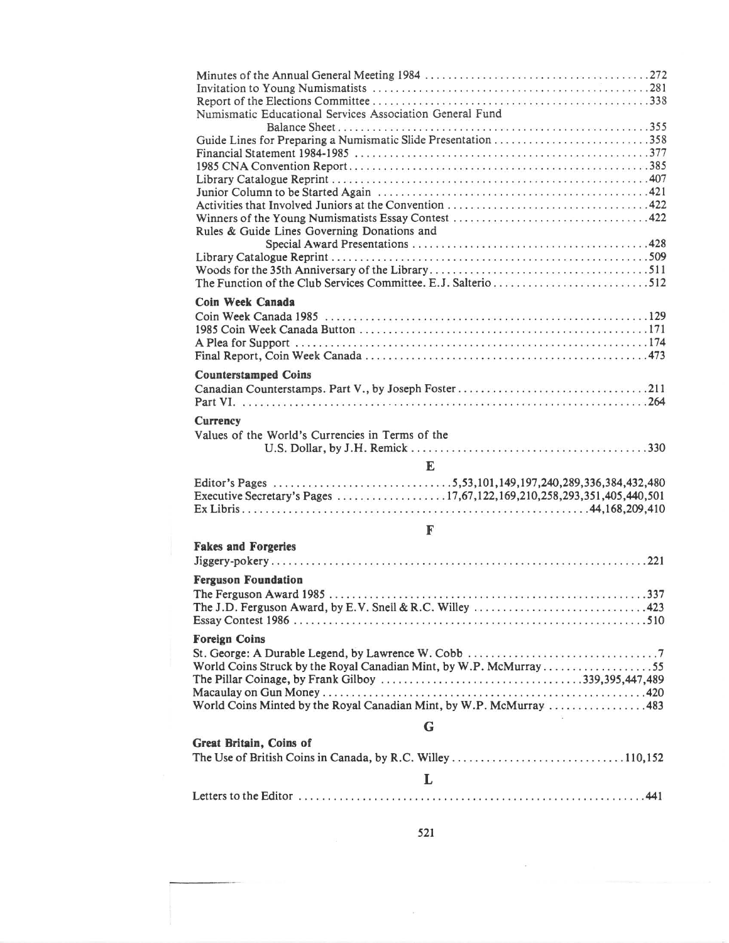| Numismatic Educational Services Association General Fund<br>Guide Lines for Preparing a Numismatic Slide Presentation 358<br>Rules & Guide Lines Governing Donations and<br>Coin Week Canada |
|----------------------------------------------------------------------------------------------------------------------------------------------------------------------------------------------|
|                                                                                                                                                                                              |
| <b>Counterstamped Coins</b>                                                                                                                                                                  |
| <b>Currency</b><br>Values of the World's Currencies in Terms of the<br>E                                                                                                                     |
| Executive Secretary's Pages 17,67,122,169,210,258,293,351,405,440,501                                                                                                                        |
| F                                                                                                                                                                                            |
| <b>Fakes and Forgeries</b>                                                                                                                                                                   |
| <b>Ferguson Foundation</b><br>The J.D. Ferguson Award, by E.V. Snell & R.C. Willey $\ldots \ldots \ldots \ldots \ldots \ldots \ldots \ldots$ . 423                                           |
| <b>Foreign Coins</b><br>World Coins Struck by the Royal Canadian Mint, by W.P. McMurray55<br>World Coins Minted by the Royal Canadian Mint, by W.P. McMurray 483                             |
| G                                                                                                                                                                                            |
| Great Britain, Coins of                                                                                                                                                                      |
| L                                                                                                                                                                                            |
|                                                                                                                                                                                              |

 $\bar{\nu}$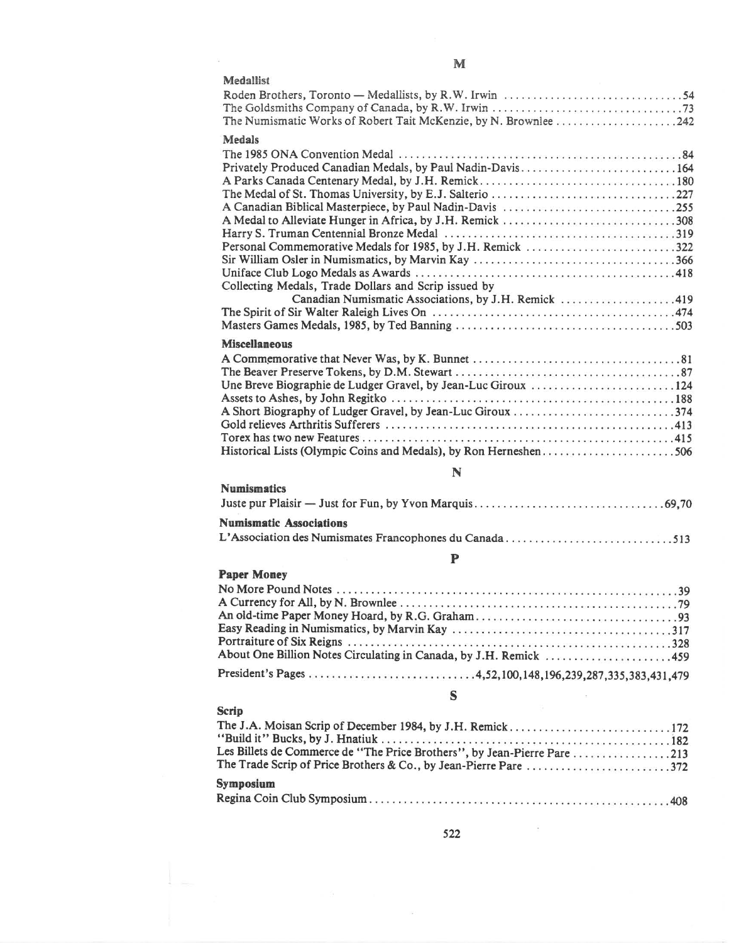| Medallist                                                                                                                                                                                                                                                                                           |
|-----------------------------------------------------------------------------------------------------------------------------------------------------------------------------------------------------------------------------------------------------------------------------------------------------|
| The Numismatic Works of Robert Tait McKenzie, by N. Brownlee 242                                                                                                                                                                                                                                    |
| <b>Medals</b>                                                                                                                                                                                                                                                                                       |
| Privately Produced Canadian Medals, by Paul Nadin-Davis164<br>A Canadian Biblical Masterpiece, by Paul Nadin-Davis 255<br>A Medal to Alleviate Hunger in Africa, by J.H. Remick 308<br>Collecting Medals, Trade Dollars and Scrip issued by<br>Canadian Numismatic Associations, by J.H. Remick 419 |
|                                                                                                                                                                                                                                                                                                     |
| <b>Miscellaneous</b>                                                                                                                                                                                                                                                                                |
| Historical Lists (Olympic Coins and Medals), by Ron Herneshen506                                                                                                                                                                                                                                    |
| N                                                                                                                                                                                                                                                                                                   |
| <b>Numismatics</b>                                                                                                                                                                                                                                                                                  |
|                                                                                                                                                                                                                                                                                                     |
| <b>Numismatic Associations</b>                                                                                                                                                                                                                                                                      |
|                                                                                                                                                                                                                                                                                                     |
| $\mathbf P$                                                                                                                                                                                                                                                                                         |
| <b>Paper Money</b>                                                                                                                                                                                                                                                                                  |
|                                                                                                                                                                                                                                                                                                     |
| S                                                                                                                                                                                                                                                                                                   |
| <b>Scrip</b>                                                                                                                                                                                                                                                                                        |
| The J.A. Moisan Scrip of December 1984, by J.H. Remick172<br>Les Billets de Commerce de "The Price Brothers", by Jean-Pierre Pare 213<br>The Trade Scrip of Price Brothers & Co., by Jean-Pierre Pare 372                                                                                           |

M

 $\frac{1}{2}$ 

| Symposium |  |  |
|-----------|--|--|
|           |  |  |

 $\lesssim \frac{1}{40}$ 

 $\frac{1}{2}$